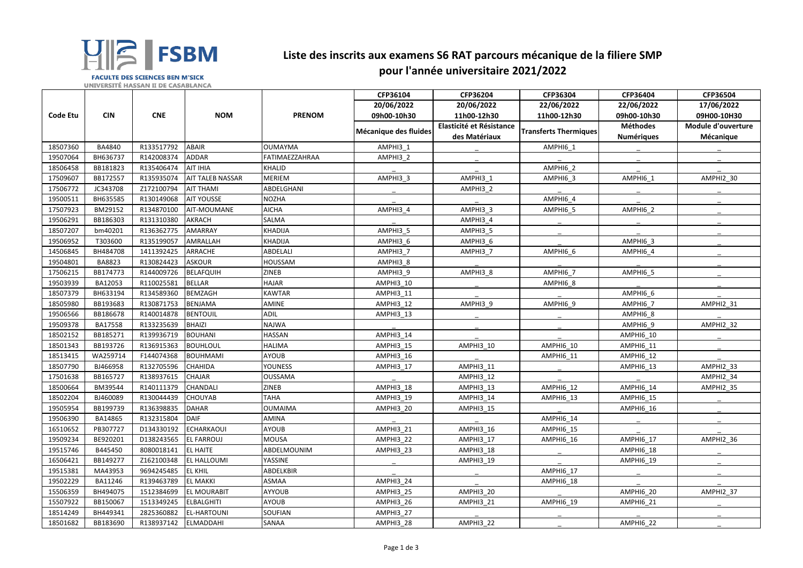|          |               |            |                         |                | CFP36104              | CFP36204                 | CFP36304                     | CFP36404          | CFP36504           |
|----------|---------------|------------|-------------------------|----------------|-----------------------|--------------------------|------------------------------|-------------------|--------------------|
|          |               |            |                         |                | 20/06/2022            | 20/06/2022               | 22/06/2022                   | 22/06/2022        | 17/06/2022         |
| Code Etu | <b>CIN</b>    | <b>CNE</b> | <b>NOM</b>              | <b>PRENOM</b>  | 09h00-10h30           | 11h00-12h30              | 11h00-12h30                  | 09h00-10h30       | 09H00-10H30        |
|          |               |            |                         |                |                       | Elasticité et Résistance |                              | <b>Méthodes</b>   | Module d'ouverture |
|          |               |            |                         |                | Mécanique des fluides | des Matériaux            | <b>Transferts Thermiques</b> | <b>Numériques</b> | Mécanique          |
| 18507360 | <b>BA4840</b> | R133517792 | <b>ABAIR</b>            | <b>OUMAYMA</b> | AMPHI3_1              |                          | AMPHI6_1                     |                   |                    |
| 19507064 | BH636737      | R142008374 | <b>ADDAR</b>            | FATIMAEZZAHRAA | AMPHI3 2              |                          |                              |                   |                    |
| 18506458 | BB181823      | R135406474 | <b>AIT IHIA</b>         | <b>KHALID</b>  |                       |                          | AMPHI6_2                     |                   |                    |
| 17509607 | BB172557      | R135935074 | <b>AIT TALEB NASSAR</b> | <b>MERIEM</b>  | AMPHI3_3              | AMPHI3 1                 | AMPHI6_3                     | AMPHI6 1          | AMPHI2_30          |
| 17506772 | JC343708      | Z172100794 | <b>AIT THAMI</b>        | ABDELGHANI     |                       | AMPHI3 2                 |                              |                   |                    |
| 19500511 | BH635585      | R130149068 | <b>AIT YOUSSE</b>       | <b>NOZHA</b>   |                       |                          | AMPHI6_4                     |                   |                    |
| 17507923 | BM29152       | R134870100 | <b>AIT-MOUMANE</b>      | <b>AICHA</b>   | AMPHI3 4              | AMPHI3 3                 | AMPHI6 5                     | AMPHI6 2          |                    |
| 19506291 | BB186303      | R131310380 | <b>AKRACH</b>           | SALMA          |                       | AMPHI3 4                 |                              |                   |                    |
| 18507207 | bm40201       | R136362775 | <b>AMARRAY</b>          | <b>KHADIJA</b> | AMPHI3 5              | AMPHI3 5                 |                              |                   |                    |
| 19506952 | T303600       | R135199057 | AMRALLAH                | <b>KHADIJA</b> | AMPHI3 6              | AMPHI3 6                 |                              | AMPHI6 3          |                    |
| 14506845 | BH484708      | 1411392425 | <b>ARRACHE</b>          | ABDELALI       | AMPHI3 7              | AMPHI3_7                 | AMPHI6 6                     | AMPHI6 4          |                    |
| 19504801 | BA8823        | R130824423 | <b>ASKOUR</b>           | <b>HOUSSAM</b> | AMPHI3 8              |                          |                              |                   |                    |
| 17506215 | BB174773      | R144009726 | <b>BELAFQUIH</b>        | <b>ZINEB</b>   | AMPHI3_9              | AMPHI3 8                 | AMPHI6 7                     | AMPHI6 5          |                    |
| 19503939 | BA12053       | R110025581 | <b>BELLAR</b>           | <b>HAJAR</b>   | AMPHI3 10             |                          | AMPHI6_8                     |                   |                    |
| 18507379 | BH633194      | R134589360 | <b>BEMZAGH</b>          | <b>KAWTAR</b>  | AMPHI3_11             |                          |                              | AMPHI6_6          |                    |
| 18505980 | BB193683      | R130871753 | <b>BENJAMA</b>          | AMINE          | AMPHI3_12             | AMPHI3_9                 | AMPHI6_9                     | AMPHI6 7          | AMPHI2_31          |
| 19506566 | BB186678      | R140014878 | <b>BENTOUIL</b>         | ADIL           | AMPHI3_13             |                          |                              | AMPHI6 8          |                    |
| 19509378 | BA17558       | R133235639 | <b>BHAIZI</b>           | <b>NAJWA</b>   |                       |                          |                              | AMPHI6 9          | AMPHI2_32          |
| 18502152 | BB185271      | R139936719 | <b>BOUHANI</b>          | <b>HASSAN</b>  | AMPHI3_14             |                          |                              | AMPHI6 10         |                    |
| 18501343 | BB193726      | R136915363 | <b>BOUHLOUL</b>         | <b>HALIMA</b>  | AMPHI3_15             | AMPHI3_10                | AMPHI6 10                    | AMPHI6_11         |                    |
| 18513415 | WA259714      | F144074368 | <b>BOUHMAMI</b>         | <b>AYOUB</b>   | AMPHI3_16             |                          | AMPHI6_11                    | AMPHI6 12         |                    |
| 18507790 | BJ466958      | R132705596 | <b>CHAHIDA</b>          | <b>YOUNESS</b> | AMPHI3_17             | AMPHI3_11                |                              | AMPHI6_13         | AMPHI2_33          |
| 17501638 | BB165727      | R138937615 | <b>CHAJAR</b>           | <b>OUSSAMA</b> |                       | AMPHI3 12                |                              |                   | AMPHI2_34          |
| 18500664 | BM39544       | R140111379 | <b>CHANDALI</b>         | <b>ZINEB</b>   | AMPHI3_18             | AMPHI3_13                | AMPHI6 12                    | AMPHI6 14         | AMPHI2_35          |
| 18502204 | BJ460089      | R130044439 | <b>CHOUYAB</b>          | <b>TAHA</b>    | AMPHI3_19             | AMPHI3_14                | AMPHI6_13                    | AMPHI6_15         |                    |
| 19505954 | BB199739      | R136398835 | <b>DAHAR</b>            | <b>OUMAIMA</b> | AMPHI3_20             | AMPHI3_15                |                              | AMPHI6 16         |                    |
| 19506390 | BA14865       | R132315804 | <b>DAIF</b>             | AMINA          |                       |                          | AMPHI6 14                    |                   |                    |
| 16510652 | PB307727      | D134330192 | <b>ECHARKAOUI</b>       | <b>AYOUB</b>   | AMPHI3_21             | AMPHI3_16                | <b>AMPHI6_15</b>             |                   |                    |
| 19509234 | BE920201      | D138243565 | <b>EL FARROUJ</b>       | <b>MOUSA</b>   | AMPHI3_22             | AMPHI3_17                | AMPHI6_16                    | AMPHI6 17         | AMPHI2_36          |
| 19515746 | B445450       | 8080018141 | <b>EL HAITE</b>         | ABDELMOUNIM    | AMPHI3_23             | AMPHI3_18                |                              | AMPHI6_18         |                    |
| 16506421 | BB149277      | Z162100348 | <b>EL HALLOUMI</b>      | YASSINE        |                       | AMPHI3 19                |                              | AMPHI6_19         |                    |
| 19515381 | MA43953       | 9694245485 | <b>EL KHIL</b>          | ABDELKBIR      |                       |                          | <b>AMPHI6_17</b>             |                   |                    |
| 19502229 | BA11246       | R139463789 | <b>EL MAKKI</b>         | ASMAA          | AMPHI3_24             |                          | AMPHI6_18                    |                   |                    |
| 15506359 | BH494075      | 1512384699 | <b>EL MOURABIT</b>      | <b>AYYOUB</b>  | AMPHI3_25             | AMPHI3_20                |                              | AMPHI6_20         | AMPHI2_37          |
| 15507922 | BB150067      | 1513349245 | <b>ELBALGHITI</b>       | <b>AYOUB</b>   | AMPHI3_26             | AMPHI3_21                | AMPHI6_19                    | <b>AMPHI6_21</b>  |                    |
| 18514249 | BH449341      | 2825360882 | <b>EL-HARTOUNI</b>      | <b>SOUFIAN</b> | AMPHI3_27             |                          |                              |                   |                    |
| 18501682 | BB183690      | R138937142 | ELMADDAHI               | SANAA          | AMPHI3_28             | AMPHI3_22                |                              | AMPHI6_22         |                    |



## **Liste des inscrits aux examens S6 RAT parcours mécanique de la filiere SMP pour l'année universitaire 2021/2022**

**FACULTE DES SCIENCES BEN M'SICK UNIVERSITÉ HASSAN II DE CASABLANCA**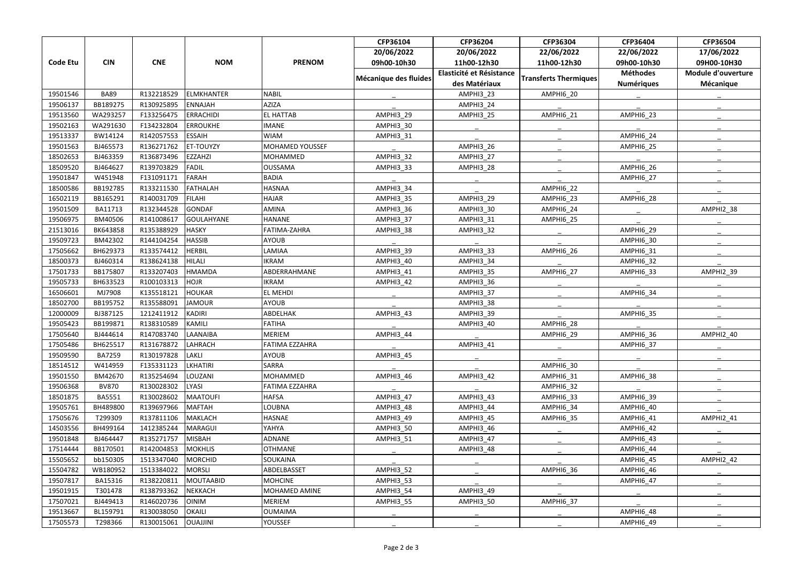|          |              |            |                   |                        | CFP36104              | CFP36204                 | CFP36304                     | CFP36404          | CFP36504           |
|----------|--------------|------------|-------------------|------------------------|-----------------------|--------------------------|------------------------------|-------------------|--------------------|
|          |              |            |                   |                        | 20/06/2022            | 20/06/2022               | 22/06/2022                   | 22/06/2022        | 17/06/2022         |
| Code Etu | <b>CIN</b>   | <b>CNE</b> | <b>NOM</b>        | <b>PRENOM</b>          | 09h00-10h30           | 11h00-12h30              | 11h00-12h30                  | 09h00-10h30       | 09H00-10H30        |
|          |              |            |                   |                        | Mécanique des fluides | Elasticité et Résistance | <b>Transferts Thermiques</b> | <b>Méthodes</b>   | Module d'ouverture |
|          |              |            |                   |                        |                       | des Matériaux            |                              | <b>Numériques</b> | <b>Mécanique</b>   |
| 19501546 | <b>BA89</b>  | R132218529 | ELMKHANTER        | <b>NABIL</b>           |                       | AMPHI3 23                | AMPHI6 20                    |                   |                    |
| 19506137 | BB189275     | R130925895 | ENNAJAH           | <b>AZIZA</b>           |                       | AMPHI3_24                |                              |                   |                    |
| 19513560 | WA293257     | F133256475 | ERRACHIDI         | <b>EL HATTAB</b>       | <b>AMPHI3_29</b>      | AMPHI3 25                | AMPHI6_21                    | <b>AMPHI6_23</b>  |                    |
| 19502163 | WA291630     | F134232804 | <b>ERROUKHE</b>   | <b>IMANE</b>           | AMPHI3_30             |                          |                              |                   |                    |
| 19513337 | BW14124      | R142057553 | <b>ESSAIH</b>     | <b>WIAM</b>            | AMPHI3_31             |                          |                              | AMPHI6 24         |                    |
| 19501563 | BJ465573     | R136271762 | <b>ET-TOUYZY</b>  | <b>MOHAMED YOUSSEF</b> |                       | AMPHI3 26                |                              | AMPHI6_25         |                    |
| 18502653 | BJ463359     | R136873496 | <b>EZZAHZI</b>    | <b>MOHAMMED</b>        | <b>AMPHI3_32</b>      | AMPHI3_27                |                              |                   |                    |
| 18509520 | BJ464627     | R139703829 | <b>FADIL</b>      | <b>OUSSAMA</b>         | AMPHI3 33             | AMPHI3 28                |                              | AMPHI6 26         |                    |
| 19501847 | W451948      | F131091171 | <b>FARAH</b>      | <b>BADIA</b>           |                       |                          |                              | AMPHI6 27         |                    |
| 18500586 | BB192785     | R133211530 | FATHALAH          | <b>HASNAA</b>          | AMPHI3_34             |                          | <b>AMPHI6_22</b>             |                   |                    |
| 16502119 | BB165291     | R140031709 | <b>FILAHI</b>     | <b>HAJAR</b>           | AMPHI3_35             | AMPHI3 29                | AMPHI6 23                    | AMPHI6 28         |                    |
| 19501509 | BA11713      | R132344528 | GONDAF            | <b>AMINA</b>           | AMPHI3_36             | AMPHI3_30                | AMPHI6_24                    |                   | AMPHI2_38          |
| 19506975 | BM40506      | R141008617 | <b>GOULAHYANE</b> | <b>HANANE</b>          | AMPHI3_37             | AMPHI3_31                | AMPHI6_25                    |                   |                    |
| 21513016 | BK643858     | R135388929 | <b>HASKY</b>      | FATIMA-ZAHRA           | AMPHI3_38             | AMPHI3_32                |                              | AMPHI6 29         |                    |
| 19509723 | BM42302      | R144104254 | <b>HASSIB</b>     | <b>AYOUB</b>           |                       |                          |                              | AMPHI6_30         |                    |
| 17505662 | BH629373     | R133574412 | <b>HERBIL</b>     | LAMIAA                 | AMPHI3_39             | AMPHI3_33                | AMPHI6_26                    | AMPHI6_31         |                    |
| 18500373 | BJ460314     | R138624138 | HILALI            | <b>IKRAM</b>           | AMPHI3_40             | AMPHI3_34                |                              | AMPHI6 32         |                    |
| 17501733 | BB175807     | R133207403 | <b>HMAMDA</b>     | ABDERRAHMANE           | AMPHI3_41             | AMPHI3_35                | AMPHI6 27                    | AMPHI6_33         | AMPHI2_39          |
| 19505733 | BH633523     | R100103313 | HOJR              | <b>IKRAM</b>           | <b>AMPHI3_42</b>      | AMPHI3_36                |                              |                   |                    |
| 16506601 | MJ7908       | K135518121 | HOUKAR            | <b>EL MEHDI</b>        |                       | AMPHI3_37                |                              | AMPHI6 34         |                    |
| 18502700 | BB195752     | R135588091 | <b>JAMOUR</b>     | <b>AYOUB</b>           |                       | AMPHI3_38                |                              |                   |                    |
| 12000009 | BJ387125     | 1212411912 | <b>KADIRI</b>     | ABDELHAK               | <b>AMPHI3_43</b>      | AMPHI3_39                |                              | AMPHI6_35         |                    |
| 19505423 | BB199871     | R138310589 | <b>KAMILI</b>     | <b>FATIHA</b>          |                       | AMPHI3_40                | AMPHI6_28                    |                   |                    |
| 17505640 | BJ444614     | R147083740 | LAANAIBA          | <b>MERIEM</b>          | AMPHI3 44             |                          | AMPHI6 29                    | AMPHI6 36         | AMPHI2 40          |
| 17505486 | BH625517     | R131678872 | LAHRACH           | <b>FATIMA EZZAHRA</b>  |                       | AMPHI3_41                |                              | AMPHI6_37         |                    |
| 19509590 | BA7259       | R130197828 | LAKLI             | <b>AYOUB</b>           | AMPHI3_45             |                          |                              |                   |                    |
| 18514512 | W414959      | F135331123 | <b>LKHATIRI</b>   | SARRA                  |                       |                          | AMPHI6 30                    |                   |                    |
| 19501550 | BM42670      | R135254694 | LOUZANI           | <b>MOHAMMED</b>        | AMPHI3_46             | AMPHI3_42                | AMPHI6_31                    | AMPHI6_38         |                    |
| 19506368 | <b>BV870</b> | R130028302 | <b>LYASI</b>      | <b>FATIMA EZZAHRA</b>  |                       |                          | AMPHI6_32                    |                   |                    |
| 18501875 | BA5551       | R130028602 | <b>MAATOUFI</b>   | <b>HAFSA</b>           | AMPHI3_47             | AMPHI3 43                | AMPHI6_33                    | AMPHI6 39         |                    |
| 19505761 | BH489800     | R139697966 | <b>MAFTAH</b>     | <b>LOUBNA</b>          | AMPHI3_48             | AMPHI3_44                | AMPHI6_34                    | AMPHI6_40         |                    |
| 17505676 | T299309      | R137811106 | MAKLACH           | <b>HASNAE</b>          | AMPHI3_49             | AMPHI3_45                | AMPHI6 35                    | AMPHI6_41         | AMPHI2_41          |
| 14503556 | BH499164     | 1412385244 | <b>MARAGUI</b>    | YAHYA                  | <b>AMPHI3_50</b>      | AMPHI3_46                |                              | AMPHI6_42         |                    |
| 19501848 | BJ464447     | R135271757 | <b>MISBAH</b>     | ADNANE                 | <b>AMPHI3_51</b>      | AMPHI3_47                |                              | AMPHI6_43         |                    |
| 17514444 | BB170501     | R142004853 | <b>MOKHLIS</b>    | <b>OTHMANE</b>         |                       | AMPHI3_48                |                              | AMPHI6_44         |                    |
| 15505652 | bb150305     | 1513347040 | <b>MORCHID</b>    | <b>SOUKAINA</b>        |                       |                          |                              | AMPHI6_45         | AMPHI2 42          |
| 15504782 | WB180952     | 1513384022 | <b>MORSLI</b>     | ABDELBASSET            | AMPHI3_52             |                          | AMPHI6_36                    | AMPHI6_46         |                    |
| 19507817 | BA15316      | R138220811 | <b>MOUTAABID</b>  | <b>MOHCINE</b>         | <b>AMPHI3_53</b>      |                          |                              | AMPHI6_47         |                    |
| 19501915 | T301478      | R138793362 | NEKKACH           | MOHAMED AMINE          | AMPHI3_54             | AMPHI3_49                |                              |                   |                    |
| 17507021 | BJ449413     | R146020736 | <b>OINIM</b>      | <b>MERIEM</b>          | AMPHI3_55             | AMPHI3_50                | <b>AMPHI6_37</b>             |                   |                    |
| 19513667 | BL159791     | R130038050 | OKAILI            | <b>OUMAIMA</b>         |                       |                          |                              | AMPHI6_48         |                    |
| 17505573 | T298366      | R130015061 | <b>OUAJJINI</b>   | <b>YOUSSEF</b>         |                       |                          |                              | AMPHI6_49         |                    |